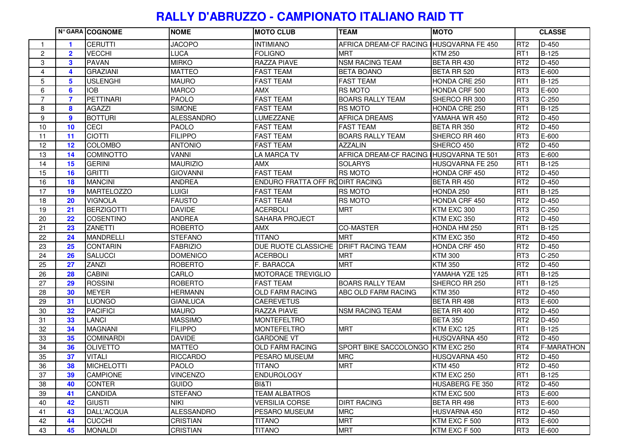## **RALLY D'ABRUZZO - CAMPIONATO ITALIANO RAID TT**

|                |                | N° GARA COGNOME   | <b>NOME</b>       | <b>MOTO CLUB</b>                      | <b>TEAM</b>                              | <b>MOTO</b>        |                 | <b>CLASSE</b>     |
|----------------|----------------|-------------------|-------------------|---------------------------------------|------------------------------------------|--------------------|-----------------|-------------------|
|                |                | <b>CERUTTI</b>    | <b>JACOPO</b>     | <b>INTIMIANO</b>                      | AFRICA DREAM-CF RACING IHUSQVARNA FE 450 |                    | RT <sub>2</sub> | D-450             |
| $\mathbf{2}$   | $\overline{2}$ | <b>VECCHI</b>     | <b>LUCA</b>       | <b>FOLIGNO</b>                        | <b>MRT</b>                               | <b>KTM 250</b>     | RT <sub>1</sub> | <b>B-125</b>      |
| 3              | 3              | <b>PAVAN</b>      | <b>MIRKO</b>      | <b>RAZZA PIAVE</b>                    | <b>NSM RACING TEAM</b>                   | BETA RR 430        | RT <sub>2</sub> | $D-450$           |
| 4              | 4              | <b>GRAZIANI</b>   | <b>MATTEO</b>     | <b>FAST TEAM</b>                      | <b>BETA BOANO</b>                        | BETA RR 520        | RT <sub>3</sub> | $E-600$           |
| 5              | 5              | <b>USLENGHI</b>   | <b>MAURO</b>      | <b>FAST TEAM</b>                      | <b>FAST TEAM</b>                         | HONDA CRE 250      | RT <sub>1</sub> | <b>B-125</b>      |
| 6              | 6              | <b>IOB</b>        | <b>MARCO</b>      | <b>AMX</b>                            | <b>RS MOTO</b>                           | HONDA CRF 500      | RT <sub>3</sub> | E-600             |
| $\overline{7}$ | $\overline{7}$ | PETTINARI         | <b>PAOLO</b>      | <b>FAST TEAM</b>                      | <b>BOARS RALLY TEAM</b>                  | SHERCO RR 300      | RT <sub>3</sub> | $C-250$           |
| 8              | 8              | <b>AGAZZI</b>     | <b>SIMONE</b>     | <b>FAST TEAM</b>                      | <b>RS MOTO</b>                           | HONDA CRE 250      | RT <sub>1</sub> | <b>B-125</b>      |
| 9              | 9              | <b>BOTTURI</b>    | <b>ALESSANDRO</b> | LUMEZZANE                             | <b>AFRICA DREAMS</b>                     | YAMAHA WR 450      | RT <sub>2</sub> | $D-450$           |
| 10             | 10             | <b>CECI</b>       | <b>PAOLO</b>      | <b>FAST TEAM</b>                      | <b>FAST TEAM</b>                         | BETA RR 350        | RT <sub>2</sub> | D-450             |
| 11             | 11             | <b>CIOTTI</b>     | <b>FILIPPO</b>    | <b>FAST TEAM</b>                      | <b>BOARS RALLY TEAM</b>                  | SHERCO RR 460      | RT <sub>3</sub> | E-600             |
| 12             | 12             | <b>COLOMBO</b>    | <b>ANTONIO</b>    | <b>FAST TEAM</b>                      | <b>AZZALIN</b>                           | SHERCO 450         | RT <sub>2</sub> | $D-450$           |
| 13             | 14             | <b>COMINOTTO</b>  | <b>VANNI</b>      | <b>LA MARCA TV</b>                    | AFRICA DREAM-CF RACING HUSQVARNA TE 501  |                    | RT <sub>3</sub> | E-600             |
| 14             | 15             | <b>GERINI</b>     | <b>MAURIZIO</b>   | AMX                                   | <b>SOLARYS</b>                           | HUSQVARNA FE 250   | RT <sub>1</sub> | <b>B-125</b>      |
| 15             | 16             | <b>GRITTI</b>     | <b>GIOVANNI</b>   | <b>FAST TEAM</b>                      | <b>RS MOTO</b>                           | HONDA CRF 450      | RT <sub>2</sub> | $D-450$           |
| 16             | 18             | <b>MANCINI</b>    | <b>ANDREA</b>     | ENDURO FRATTA OFF RODIRT RACING       |                                          | BETA RR 450        | RT <sub>2</sub> | $D-450$           |
| 17             | 19             | <b>MARTELOZZO</b> | <b>LUIGI</b>      | <b>FAST TEAM</b>                      | <b>RS MOTO</b>                           | HONDA 250          | RT <sub>1</sub> | <b>B-125</b>      |
| 18             | 20             | <b>VIGNOLA</b>    | <b>FAUSTO</b>     | <b>FAST TEAM</b>                      | <b>RS MOTO</b>                           | HONDA CRF 450      | RT <sub>2</sub> | $D-450$           |
| 19             | 21             | <b>BERZIGOTTI</b> | <b>DAVIDE</b>     | <b>ACERBOLI</b>                       | <b>MRT</b>                               | KTM EXC 300        | RT <sub>3</sub> | $C-250$           |
| 20             | 22             | <b>COSENTINO</b>  | <b>ANDREA</b>     | <b>SAHARA PROJECT</b>                 |                                          | KTM EXC 350        | RT <sub>2</sub> | $D-450$           |
| 21             | 23             | <b>ZANETTI</b>    | <b>ROBERTO</b>    | AMX                                   | <b>CO-MASTER</b>                         | HONDA HM 250       | RT <sub>1</sub> | <b>B-125</b>      |
| 22             | 24             | <b>MANDRELLI</b>  | <b>STEFANO</b>    | <b>TITANO</b>                         | <b>MRT</b>                               | KTM EXC 350        | RT <sub>2</sub> | D-450             |
| 23             | 25             | <b>CONTARIN</b>   | <b>FABRIZIO</b>   | DUE RUOTE CLASSICHE DRIFT RACING TEAM |                                          | HONDA CRF 450      | RT <sub>2</sub> | D-450             |
| 24             | 26             | <b>SALUCCI</b>    | <b>DOMENICO</b>   | <b>ACERBOLI</b>                       | <b>MRT</b>                               | <b>KTM 300</b>     | RT <sub>3</sub> | $C-250$           |
| 25             | 27             | <b>ZANZI</b>      | <b>ROBERTO</b>    | F. BARACCA                            | <b>MRT</b>                               | <b>KTM 350</b>     | RT <sub>2</sub> | $D-450$           |
| 26             | 28             | <b>CABINI</b>     | CARLO             | MOTORACE TREVIGLIO                    |                                          | YAMAHA YZE 125     | RT <sub>1</sub> | <b>B-125</b>      |
| 27             | 29             | <b>ROSSINI</b>    | <b>ROBERTO</b>    | <b>FAST TEAM</b>                      | <b>BOARS RALLY TEAM</b>                  | SHERCO RR 250      | RT <sub>1</sub> | <b>B-125</b>      |
| 28             | 30             | <b>MEYER</b>      | <b>HERMANN</b>    | <b>OLD FARM RACING</b>                | ABC OLD FARM RACING                      | <b>KTM 350</b>     | RT <sub>2</sub> | $D-450$           |
| 29             | 31             | <b>LUONGO</b>     | <b>GIANLUCA</b>   | <b>CAEREVETUS</b>                     |                                          | <b>BETA RR 498</b> | RT <sub>3</sub> | $E-600$           |
| 30             | 32             | <b>PACIFICI</b>   | <b>MAURO</b>      | <b>RAZZA PIAVE</b>                    | <b>NSM RACING TEAM</b>                   | BETA RR 400        | RT <sub>2</sub> | D-450             |
| 31             | 33             | <b>LANCI</b>      | <b>MASSIMO</b>    | <b>MONTEFELTRO</b>                    |                                          | <b>BETA 350</b>    | RT <sub>2</sub> | $D-450$           |
| 32             | 34             | <b>MAGNANI</b>    | <b>FILIPPO</b>    | <b>MONTEFELTRO</b>                    | <b>MRT</b>                               | KTM EXC 125        | RT <sub>1</sub> | <b>B-125</b>      |
| 33             | 35             | <b>COMINARDI</b>  | <b>DAVIDE</b>     | <b>GARDONE VT</b>                     |                                          | HUSQVARNA 450      | RT <sub>2</sub> | D-450             |
| 34             | 36             | <b>OLIVETTO</b>   | <b>MATTEO</b>     | <b>OLD FARM RACING</b>                | SPORT BIKE SACCOLONGO KTM EXC 250        |                    | RT4             | <b>F-MARATHON</b> |
| 35             | 37             | <b>VITALI</b>     | <b>RICCARDO</b>   | PESARO MUSEUM                         | <b>MRC</b>                               | HUSQVARNA 450      | RT <sub>2</sub> | $D-450$           |
| 36             | 38             | <b>MICHELOTTI</b> | <b>PAOLO</b>      | <b>TITANO</b>                         | <b>MRT</b>                               | <b>KTM 450</b>     | RT <sub>2</sub> | $D-450$           |
| 37             | 39             | <b>CAMPIONE</b>   | <b>VINCENZO</b>   | <b>ENDUROLOGY</b>                     |                                          | KTM EXC 250        | RT <sub>1</sub> | B-125             |
| 38             | 40             | <b>CONTER</b>     | <b>GUIDO</b>      | <b>BI&amp;TI</b>                      |                                          | HUSABERG FE 350    | RT <sub>2</sub> | $D-450$           |
| 39             | 41             | <b>CANDIDA</b>    | <b>STEFANO</b>    | <b>TEAM ALBATROS</b>                  |                                          | KTM EXC 500        | RT <sub>3</sub> | E-600             |
| 40             | 42             | <b>GIUSTI</b>     | <b>NIKI</b>       | <b>VERSILIA CORSE</b>                 | <b>DIRT RACING</b>                       | BETA RR 498        | RT <sub>3</sub> | E-600             |
| 41             | 43             | DALL'ACQUA        | <b>ALESSANDRO</b> | PESARO MUSEUM                         | <b>MRC</b>                               | HUSVARNA 450       | RT <sub>2</sub> | D-450             |
| 42             | 44             | <b>CUCCHI</b>     | <b>CRISTIAN</b>   | <b>TITANO</b>                         | <b>MRT</b>                               | KTM EXC F 500      | RT <sub>3</sub> | E-600             |
| 43             | 45             | <b>MONALDI</b>    | <b>CRISTIAN</b>   | <b>TITANO</b>                         | <b>MRT</b>                               | KTM EXC F 500      | RT <sub>3</sub> | E-600             |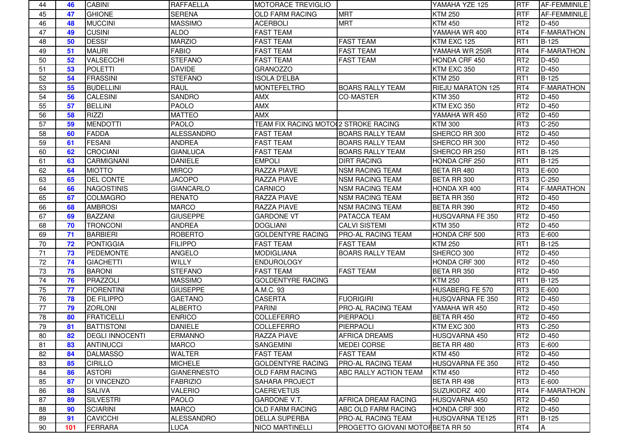| 44 | 46  | <b>CABINI</b>          | <b>RAFFAELLA</b>   | <b>MOTORACE TREVIGLIO</b>            |                                  | YAMAHA YZE 125    | <b>RTF</b>      | <b>AF-FEMMINILE</b> |
|----|-----|------------------------|--------------------|--------------------------------------|----------------------------------|-------------------|-----------------|---------------------|
| 45 | 47  | <b>GHIONE</b>          | <b>SERENA</b>      | <b>OLD FARM RACING</b>               | <b>MRT</b>                       | <b>KTM 250</b>    | <b>RTF</b>      | AF-FEMMINILE        |
| 46 | 48  | <b>MUCCINI</b>         | <b>MASSIMO</b>     | <b>ACERBOLI</b>                      | <b>MRT</b>                       | <b>KTM 450</b>    | RT <sub>2</sub> | $D-450$             |
| 47 | 49  | <b>CUSINI</b>          | <b>ALDO</b>        | <b>FAST TEAM</b>                     |                                  | YAMAHA WR 400     | RT4             | <b>F-MARATHON</b>   |
| 48 | 50  | <b>DESSI'</b>          | <b>MARZIO</b>      | <b>FAST TEAM</b>                     | <b>FAST TEAM</b>                 | KTM EXC 125       | RT <sub>1</sub> | B-125               |
| 49 | 51  | <b>MAURI</b>           | <b>FABIO</b>       | <b>FAST TEAM</b>                     | <b>FAST TEAM</b>                 | YAMAHA WR 250R    | RT4             | <b>F-MARATHON</b>   |
| 50 | 52  | VALSECCHI              | <b>STEFANO</b>     | <b>FAST TEAM</b>                     | <b>FAST TEAM</b>                 | HONDA CRF 450     | RT <sub>2</sub> | $D-450$             |
| 51 | 53  | <b>POLETTI</b>         | <b>DAVIDE</b>      | <b>GRANOZZO</b>                      |                                  | KTM EXC 350       | RT <sub>2</sub> | D-450               |
| 52 | 54  | <b>FRASSINI</b>        | <b>STEFANO</b>     | <b>ISOLA D'ELBA</b>                  |                                  | <b>KTM 250</b>    | RT <sub>1</sub> | B-125               |
| 53 | 55  | <b>BUDELLINI</b>       | <b>RAUL</b>        | <b>MONTEFELTRO</b>                   | <b>BOARS RALLY TEAM</b>          | RIEJU MARATON 125 | RT4             | <b>F-MARATHON</b>   |
| 54 | 56  | <b>CALESINI</b>        | <b>SANDRO</b>      | <b>AMX</b>                           | <b>CO-MASTER</b>                 | <b>KTM 350</b>    | RT <sub>2</sub> | $D-450$             |
| 55 | 57  | <b>BELLINI</b>         | <b>PAOLO</b>       | <b>AMX</b>                           |                                  | KTM EXC 350       | RT <sub>2</sub> | D-450               |
| 56 | 58  | <b>RIZZI</b>           | <b>MATTEO</b>      | <b>AMX</b>                           |                                  | YAMAHA WR 450     | RT <sub>2</sub> | $D-450$             |
| 57 | 59  | <b>MENDOTTI</b>        | <b>PAOLO</b>       | TEAM FIX RACING MOTO 2 STROKE RACING |                                  | <b>KTM 300</b>    | RT <sub>3</sub> | $C-250$             |
| 58 | 60  | <b>FADDA</b>           | <b>ALESSANDRO</b>  | <b>FAST TEAM</b>                     | <b>BOARS RALLY TEAM</b>          | SHERCO RR 300     | RT <sub>2</sub> | $D-450$             |
| 59 | 61  | <b>FESANI</b>          | <b>ANDREA</b>      | <b>FAST TEAM</b>                     | <b>BOARS RALLY TEAM</b>          | SHERCO RR 300     | RT <sub>2</sub> | $D-450$             |
| 60 | 62  | <b>CROCIANI</b>        | <b>GIANLUCA</b>    | <b>FAST TEAM</b>                     | <b>BOARS RALLY TEAM</b>          | SHERCO RR 250     | RT <sub>1</sub> | B-125               |
| 61 | 63  | <b>CARMIGNANI</b>      | <b>DANIELE</b>     | <b>EMPOLI</b>                        | <b>DIRT RACING</b>               | HONDA CRF 250     | RT <sub>1</sub> | B-125               |
| 62 | 64  | <b>MIOTTO</b>          | <b>MIRCO</b>       | <b>RAZZA PIAVE</b>                   | <b>NSM RACING TEAM</b>           | BETA RR 480       | RT <sub>3</sub> | E-600               |
| 63 | 65  | <b>DEL CONTE</b>       | <b>JACOPO</b>      | <b>RAZZA PIAVE</b>                   | <b>NSM RACING TEAM</b>           | BETA RR 300       | RT <sub>3</sub> | $C-250$             |
| 64 | 66  | <b>NAGOSTINIS</b>      | <b>GIANCARLO</b>   | CARNICO                              | <b>NSM RACING TEAM</b>           | HONDA XR 400      | RT4             | <b>F-MARATHON</b>   |
| 65 | 67  | <b>COLMAGRO</b>        | <b>RENATO</b>      | <b>RAZZA PIAVE</b>                   | <b>NSM RACING TEAM</b>           | BETA RR 350       | RT <sub>2</sub> | $D-450$             |
| 66 | 68  | <b>AMBROSI</b>         | <b>MARCO</b>       | <b>RAZZA PIAVE</b>                   | <b>NSM RACING TEAM</b>           | BETA RR 390       | RT <sub>2</sub> | D-450               |
| 67 | 69  | <b>BAZZANI</b>         | <b>GIUSEPPE</b>    | <b>GARDONE VT</b>                    | PATACCA TEAM                     | HUSQVARNA FE 350  | RT <sub>2</sub> | D-450               |
| 68 | 70  | <b>TRONCONI</b>        | <b>ANDREA</b>      | <b>DOGLIANI</b>                      | <b>CALVI SISTEMI</b>             | <b>KTM 350</b>    | RT <sub>2</sub> | $D-450$             |
| 69 | 71  | <b>BARBIERI</b>        | <b>ROBERTO</b>     | <b>GOLDENTYRE RACING</b>             | <b>PRO-AL RACING TEAM</b>        | HONDA CRF 500     | RT <sub>3</sub> | E-600               |
| 70 | 72  | <b>PONTIGGIA</b>       | <b>FILIPPO</b>     | <b>FAST TEAM</b>                     | <b>FAST TEAM</b>                 | <b>KTM 250</b>    | RT <sub>1</sub> | B-125               |
| 71 | 73  | <b>PEDEMONTE</b>       | <b>ANGELO</b>      | <b>MODIGLIANA</b>                    | <b>BOARS RALLY TEAM</b>          | SHERCO 300        | RT <sub>2</sub> | $D-450$             |
| 72 | 74  | <b>GIACHETTI</b>       | <b>WILLY</b>       | <b>ENDUROLOGY</b>                    |                                  | HONDA CRF 300     | RT <sub>2</sub> | D-450               |
| 73 | 75  | <b>BARONI</b>          | <b>STEFANO</b>     | <b>FAST TEAM</b>                     | <b>FAST TEAM</b>                 | BETA RR 350       | RT <sub>2</sub> | $D-450$             |
| 74 | 76  | PRAZZOLI               | <b>MASSIMO</b>     | <b>GOLDENTYRE RACING</b>             |                                  | <b>KTM 250</b>    | RT <sub>1</sub> | B-125               |
| 75 | 77  | <b>FIORENTINI</b>      | <b>GIUSEPPE</b>    | A.M.C. 93                            |                                  | HUSABERG FE 570   | RT <sub>3</sub> | E-600               |
| 76 | 78  | <b>DE FILIPPO</b>      | <b>GAETANO</b>     | <b>CASERTA</b>                       | <b>FUORIGIRI</b>                 | HUSQVARNA FE 350  | RT <sub>2</sub> | D-450               |
| 77 | 79  | <b>ZORLONI</b>         | <b>ALBERTO</b>     | <b>PARINI</b>                        | PRO-AL RACING TEAM               | YAMAHA WR 450     | RT <sub>2</sub> | D-450               |
| 78 | 80  | <b>FRATICELLI</b>      | <b>ENRICO</b>      | COLLEFERRO                           | PIERPAOLI                        | BETA RR 450       | RT <sub>2</sub> | $D-450$             |
| 79 | 81  | <b>BATTISTONI</b>      | <b>DANIELE</b>     | <b>COLLEFERRO</b>                    | PIERPAOLI                        | KTM EXC 300       | RT <sub>3</sub> | $C-250$             |
| 80 | 82  | <b>DEGLI INNOCENTI</b> | <b>ERMANNO</b>     | <b>RAZZA PIAVE</b>                   | <b>AFRICA DREAMS</b>             | HUSQVARNA 450     | RT <sub>2</sub> | $D-450$             |
| 81 | 83  | <b>ANTINUCCI</b>       | <b>MARCO</b>       | <b>SANGEMINI</b>                     | <b>MEDEI CORSE</b>               | BETA RR 480       | RT <sub>3</sub> | E-600               |
| 82 | 84  | <b>DALMASSO</b>        | <b>WALTER</b>      | <b>FAST TEAM</b>                     | <b>FAST TEAM</b>                 | <b>KTM 450</b>    | RT <sub>2</sub> | $D-450$             |
| 83 | 85  | <b>CIRILLO</b>         | <b>MICHELE</b>     | <b>GOLDENTYRE RACING</b>             | PRO-AL RACING TEAM               | HUSQVARNA FE 350  | RT <sub>2</sub> | $D-450$             |
| 84 | 86  | <b>ASTORI</b>          | <b>GIANERNESTO</b> | <b>OLD FARM RACING</b>               | ABC RALLY ACTION TEAM            | <b>KTM 450</b>    | RT <sub>2</sub> | $D-450$             |
| 85 | 87  | <b>DI VINCENZO</b>     | <b>FABRIZIO</b>    | <b>SAHARA PROJECT</b>                |                                  | BETA RR 498       | RT <sub>3</sub> | E-600               |
| 86 | 88  | <b>SALIVA</b>          | <b>VALERIO</b>     | <b>CAEREVETUS</b>                    |                                  | SUZUKIDRZ 400     | RT4             | <b>F-MARATHON</b>   |
| 87 | 89  | SILVESTRI              | <b>PAOLO</b>       | <b>GARDONE V.T.</b>                  | AFRICA DREAM RACING              | HUSQVARNA 450     | RT <sub>2</sub> | $D-450$             |
| 88 | 90  | <b>SCIARINI</b>        | <b>MARCO</b>       | <b>OLD FARM RACING</b>               | ABC OLD FARM RACING              | HONDA CRF 300     | RT <sub>2</sub> | $D-450$             |
| 89 | 91  | <b>CAVICCHI</b>        | <b>ALESSANDRO</b>  | <b>DELLA SUPERBA</b>                 | PRO-AL RACING TEAM               | HUSQVARNA TE125   | RT <sub>1</sub> | B-125               |
| 90 | 101 | FERRARA                | <b>LUCA</b>        | <b>NICO MARTINELLI</b>               | PROGETTO GIOVANI MOTORBETA RR 50 |                   | RT4             | A                   |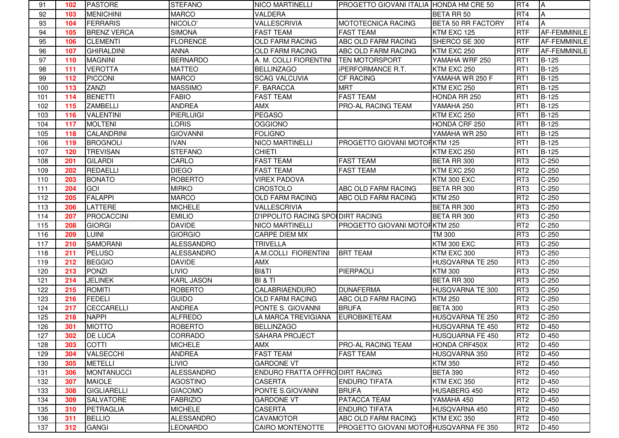| 91  | 102 | <b>PASTORE</b>     | <b>STEFANO</b>    | <b>NICO MARTINELLI</b>                   | PROGETTO GIOVANI ITALIA HONDA HM CRE 50 |                           | RT4             | <b>A</b>     |
|-----|-----|--------------------|-------------------|------------------------------------------|-----------------------------------------|---------------------------|-----------------|--------------|
| 92  | 103 | <b>MENICHINI</b>   | <b>MARCO</b>      | <b>VALDERA</b>                           |                                         | <b>BETA RR 50</b>         | RT4             | A            |
| 93  | 104 | <b>FERRARIS</b>    | NICOLO'           | <b>VALLESCRIVIA</b>                      | MOTOTECNICA RACING                      | <b>BETA 50 RR FACTORY</b> | RT4             | ΙA           |
| 94  | 105 | <b>BRENZ VERCA</b> | <b>SIMONA</b>     | <b>FAST TEAM</b>                         | <b>FAST TEAM</b>                        | KTM EXC 125               | <b>RTF</b>      | AF-FEMMINILE |
| 95  | 106 | <b>CLEMENTI</b>    | <b>FLORENCE</b>   | <b>OLD FARM RACING</b>                   | ABC OLD FARM RACING                     | SHERCO SE 300             | <b>RTF</b>      | AF-FEMMINILE |
| 96  | 107 | <b>GHIRALDINI</b>  | <b>ANNA</b>       | <b>OLD FARM RACING</b>                   | ABC OLD FARM RACING                     | KTM EXC 250               | <b>RTF</b>      | AF-FEMMINILE |
| 97  | 110 | <b>MAGNINI</b>     | <b>BERNARDO</b>   | A. M. COLLI FIORENTINI                   | <b>TEN MOTORSPORT</b>                   | YAMAHA WRF 250            | RT <sub>1</sub> | B-125        |
| 98  | 111 | <b>VEROTTA</b>     | <b>MATTEO</b>     | <b>BELLINZAGO</b>                        | <b>IPERFORMANCE R.T.</b>                | KTM EXC 250               | RT <sub>1</sub> | B-125        |
| 99  | 112 | <b>PICCONI</b>     | <b>MARCO</b>      | <b>SCAG VALCUVIA</b>                     | <b>CF RACING</b>                        | YAMAHA WR 250 F           | RT <sub>1</sub> | B-125        |
| 100 | 113 | <b>ZANZI</b>       | <b>MASSIMO</b>    | F. BARACCA                               | <b>MRT</b>                              | KTM EXC 250               | RT <sub>1</sub> | B-125        |
| 101 | 114 | <b>BENETTI</b>     | <b>FABIO</b>      | <b>FAST TEAM</b>                         | <b>FAST TEAM</b>                        | HONDA RR 250              | RT <sub>1</sub> | B-125        |
| 102 | 115 | <b>ZAMBELLI</b>    | <b>ANDREA</b>     | <b>AMX</b>                               | PRO-AL RACING TEAM                      | YAMAHA 250                | RT <sub>1</sub> | <b>B-125</b> |
| 103 | 116 | <b>VALENTINI</b>   | PIERLUIGI         | <b>PEGASO</b>                            |                                         | KTM EXC 250               | RT <sub>1</sub> | B-125        |
| 104 | 117 | <b>MOLTENI</b>     | <b>LORIS</b>      | <b>OGGIONO</b>                           |                                         | HONDA CRF 250             | RT <sub>1</sub> | B-125        |
| 105 | 118 | <b>CALANDRINI</b>  | <b>GIOVANNI</b>   | <b>FOLIGNO</b>                           |                                         | YAMAHA WR 250             | RT <sub>1</sub> | B-125        |
| 106 | 119 | <b>BROGNOLI</b>    | <b>IVAN</b>       | <b>NICO MARTINELLI</b>                   | PROGETTO GIOVANI MOTORKTM 125           |                           | RT <sub>1</sub> | B-125        |
| 107 | 120 | <b>TREVISAN</b>    | <b>STEFANO</b>    | <b>CHIETI</b>                            |                                         | KTM EXC 250               | RT <sub>1</sub> | <b>B-125</b> |
| 108 | 201 | <b>GILARDI</b>     | CARLO             | <b>FAST TEAM</b>                         | <b>FAST TEAM</b>                        | BETA RR 300               | RT <sub>3</sub> | $C-250$      |
| 109 | 202 | <b>REDAELLI</b>    | <b>DIEGO</b>      | <b>FAST TEAM</b>                         | <b>FAST TEAM</b>                        | KTM EXC 250               | RT <sub>2</sub> | $C-250$      |
| 110 | 203 | <b>BONATO</b>      | <b>ROBERTO</b>    | <b>VIREX PADOVA</b>                      |                                         | KTM 300 EXC               | RT <sub>3</sub> | $C-250$      |
| 111 | 204 | GOI                | <b>MIRKO</b>      | <b>CROSTOLO</b>                          | ABC OLD FARM RACING                     | BETA RR 300               | RT <sub>3</sub> | $C-250$      |
| 112 | 205 | <b>FALAPPI</b>     | <b>MARCO</b>      | <b>OLD FARM RACING</b>                   | ABC OLD FARM RACING                     | <b>KTM 250</b>            | RT <sub>2</sub> | $C-250$      |
| 113 | 206 | <b>LATTERE</b>     | <b>MICHELE</b>    | <b>VALLESCRIVIA</b>                      |                                         | BETA RR 300               | RT <sub>3</sub> | $C-250$      |
| 114 | 207 | PROCACCINI         | <b>EMILIO</b>     | <b>D'IPPOLITO RACING SPOIDIRT RACING</b> |                                         | BETA RR 300               | RT <sub>3</sub> | $C-250$      |
| 115 | 208 | <b>GIORGI</b>      | <b>DAVIDE</b>     | <b>NICO MARTINELLI</b>                   | PROGETTO GIOVANI MOTORKTM 250           |                           | RT <sub>2</sub> | $C-250$      |
| 116 | 209 | LUINI              | <b>GIORGIO</b>    | <b>CARPE DIEM MX</b>                     |                                         | TM 300                    | RT <sub>3</sub> | $C-250$      |
| 117 | 210 | <b>SAMORANI</b>    | <b>ALESSANDRO</b> | <b>TRIVELLA</b>                          |                                         | <b>KTM 300 EXC</b>        | RT <sub>3</sub> | $C-250$      |
| 118 | 211 | <b>PELUSO</b>      | <b>ALESSANDRO</b> | A.M.COLLI FIORENTINI                     | <b>BRT TEAM</b>                         | KTM EXC 300               | RT <sub>3</sub> | $C-250$      |
| 119 | 212 | <b>BEGGIO</b>      | <b>DAVIDE</b>     | <b>AMX</b>                               |                                         | HUSQVARNA TE 250          | RT <sub>3</sub> | $C-250$      |
| 120 | 213 | <b>PONZI</b>       | <b>LIVIO</b>      | <b>BI&amp;TI</b>                         | PIERPAOLI                               | <b>KTM 300</b>            | RT <sub>3</sub> | $C-250$      |
| 121 | 214 | <b>JELINEK</b>     | <b>KARL JASON</b> | <b>BI &amp; TI</b>                       |                                         | BETA RR 300               | RT <sub>3</sub> | $C-250$      |
| 122 | 215 | <b>ROMITI</b>      | <b>ROBERTO</b>    | <b>CALABRIAENDURO</b>                    | <b>DUNAFERMA</b>                        | HUSQVARNA TE 300          | RT <sub>3</sub> | $C-250$      |
| 123 | 216 | <b>FEDELI</b>      | <b>GUIDO</b>      | <b>OLD FARM RACING</b>                   | ABC OLD FARM RACING                     | <b>KTM 250</b>            | RT <sub>2</sub> | $C-250$      |
| 124 | 217 | <b>CECCARELLI</b>  | <b>ANDREA</b>     | PONTE S. GIOVANNI                        | <b>BRUFA</b>                            | <b>BETA 300</b>           | RT <sub>3</sub> | $C-250$      |
| 125 | 218 | <b>NAPPI</b>       | <b>ALFREDO</b>    | LA MARCA TREVIGIANA                      | <b>EUROBIKETEAM</b>                     | HUSQVARNA TE 250          | RT <sub>2</sub> | $C-250$      |
| 126 | 301 | <b>MIOTTO</b>      | <b>ROBERTO</b>    | <b>BELLINZAGO</b>                        |                                         | HUSQVARNA TE 450          | RT <sub>2</sub> | D-450        |
| 127 | 302 | <b>DE LUCA</b>     | <b>CORRADO</b>    | <b>SAHARA PROJECT</b>                    |                                         | HUSQUARNA FE 450          | RT <sub>2</sub> | $D-450$      |
| 128 | 303 | <b>COTTI</b>       | <b>MICHELE</b>    | <b>AMX</b>                               | PRO-AL RACING TEAM                      | <b>HONDA CRF450X</b>      | RT <sub>2</sub> | D-450        |
| 129 | 304 | VALSECCHI          | <b>ANDREA</b>     | <b>FAST TEAM</b>                         | <b>FAST TEAM</b>                        | HUSQVARNA 350             | RT <sub>2</sub> | $D-450$      |
| 130 | 305 | <b>METELLI</b>     | <b>LIVIO</b>      | <b>GARDONE VT</b>                        |                                         | <b>KTM 350</b>            | RT <sub>2</sub> | $D-450$      |
| 131 | 306 | <b>MONTANUCCI</b>  | <b>ALESSANDRO</b> | <b>ENDURO FRATTA OFFRO DIRT RACING</b>   |                                         | <b>BETA 390</b>           | RT <sub>2</sub> | $D-450$      |
| 132 | 307 | <b>MAIOLE</b>      | <b>AGOSTINO</b>   | <b>CASERTA</b>                           | <b>ENDURO TIFATA</b>                    | KTM EXC 350               | RT <sub>2</sub> | $D-450$      |
| 133 | 308 | GIGLIARELLI        | <b>GIACOMO</b>    | PONTE S.GIOVANNI                         | <b>BRUFA</b>                            | HUSABERG 450              | RT <sub>2</sub> | $D-450$      |
| 134 | 309 | <b>SALVATORE</b>   | <b>FABRIZIO</b>   | <b>GARDONE VT</b>                        | PATACCA TEAM                            | YAMAHA 450                | RT <sub>2</sub> | D-450        |
| 135 | 310 | PETRAGLIA          | <b>MICHELE</b>    | <b>CASERTA</b>                           | <b>ENDURO TIFATA</b>                    | HUSQVARNA 450             | RT <sub>2</sub> | D-450        |
| 136 | 311 | <b>BELLIO</b>      | ALESSANDRO        | <b>CAVAMOTOR</b>                         | ABC OLD FARM RACING                     | KTM EXC 350               | RT <sub>2</sub> | D-450        |
| 137 | 312 | <b>GANGI</b>       | <b>LEONARDO</b>   | <b>CAIRO MONTENOTTE</b>                  | PROGETTO GIOVANI MOTOHHUSQVARNA FE 350  |                           | RT <sub>2</sub> | $D-450$      |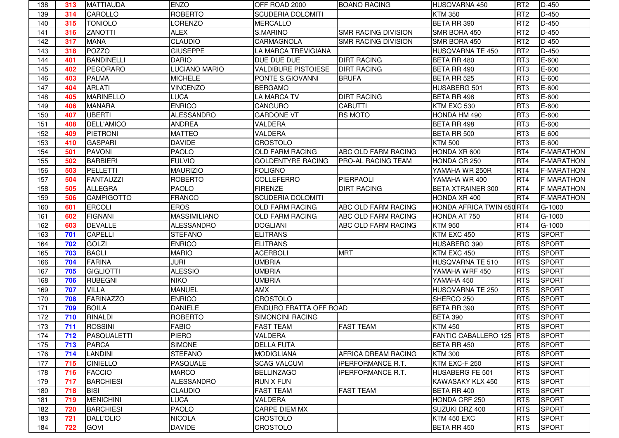| 138 | 313 | <b>MATTIAUDA</b>  | <b>ENZO</b>         | OFF ROAD 2000              | <b>BOANO RACING</b>        | HUSQVARNA 450             | RT <sub>2</sub> | $D-450$           |
|-----|-----|-------------------|---------------------|----------------------------|----------------------------|---------------------------|-----------------|-------------------|
| 139 | 314 | <b>CAROLLO</b>    | <b>ROBERTO</b>      | <b>SCUDERIA DOLOMITI</b>   |                            | <b>KTM 350</b>            | RT <sub>2</sub> | $D-450$           |
| 140 | 315 | <b>TONIOLO</b>    | <b>LORENZO</b>      | <b>MERCALLO</b>            |                            | BETA RR 390               | RT <sub>2</sub> | $D-450$           |
| 141 | 316 | <b>ZANOTTI</b>    | <b>ALEX</b>         | S.MARINO                   | <b>SMR RACING DIVISION</b> | SMR BORA 450              | RT <sub>2</sub> | D-450             |
| 142 | 317 | <b>MANA</b>       | <b>CLAUDIO</b>      | CARMAGNOLA                 | SMR RACING DIVISION        | SMR BORA 450              | RT <sub>2</sub> | D-450             |
| 143 | 318 | <b>POZZO</b>      | <b>GIUSEPPE</b>     | LA MARCA TREVIGIANA        |                            | HUSQVARNA TE 450          | RT <sub>2</sub> | D-450             |
| 144 | 401 | <b>BANDINELLI</b> | <b>DARIO</b>        | DUE DUE DUE                | <b>DIRT RACING</b>         | BETA RR 480               | RT <sub>3</sub> | E-600             |
| 145 | 402 | <b>PEGORARO</b>   | LUCIANO MARIO       | <b>VALDIBURE PISTOIESE</b> | <b>DIRT RACING</b>         | BETA RR 490               | RT <sub>3</sub> | E-600             |
| 146 | 403 | <b>PALMA</b>      | <b>MICHELE</b>      | PONTE S.GIOVANNI           | <b>BRUFA</b>               | BETA RR 525               | RT <sub>3</sub> | E-600             |
| 147 | 404 | <b>ARLATI</b>     | <b>VINCENZO</b>     | <b>BERGAMO</b>             |                            | HUSABERG 501              | RT <sub>3</sub> | E-600             |
| 148 | 405 | <b>MARINELLO</b>  | <b>LUCA</b>         | <b>LA MARCA TV</b>         | <b>DIRT RACING</b>         | BETA RR 498               | RT <sub>3</sub> | E-600             |
| 149 | 406 | <b>MANARA</b>     | <b>ENRICO</b>       | CANGURO                    | <b>CABUTTI</b>             | KTM EXC 530               | RT <sub>3</sub> | E-600             |
| 150 | 407 | <b>UBERTI</b>     | <b>ALESSANDRO</b>   | <b>GARDONE VT</b>          | <b>RS MOTO</b>             | HONDA HM 490              | RT <sub>3</sub> | E-600             |
| 151 | 408 | <b>DELL'AMICO</b> | <b>ANDREA</b>       | <b>VALDERA</b>             |                            | <b>BETA RR 498</b>        | RT <sub>3</sub> | E-600             |
| 152 | 409 | <b>PIETRONI</b>   | <b>MATTEO</b>       | VALDERA                    |                            | BETA RR 500               | RT <sub>3</sub> | E-600             |
| 153 | 410 | <b>GASPARI</b>    | <b>DAVIDE</b>       | CROSTOLO                   |                            | <b>KTM 500</b>            | RT <sub>3</sub> | E-600             |
| 154 | 501 | <b>PAVONI</b>     | <b>PAOLO</b>        | <b>OLD FARM RACING</b>     | ABC OLD FARM RACING        | HONDA XR 600              | RT4             | <b>F-MARATHON</b> |
| 155 | 502 | <b>BARBIERI</b>   | <b>FULVIO</b>       | <b>GOLDENTYRE RACING</b>   | <b>PRO-AL RACING TEAM</b>  | HONDA CR 250              | RT4             | <b>F-MARATHON</b> |
| 156 | 503 | <b>PELLETTI</b>   | <b>MAURIZIO</b>     | <b>FOLIGNO</b>             |                            | YAMAHA WR 250R            | RT4             | <b>F-MARATHON</b> |
| 157 | 504 | <b>FANTAUZZI</b>  | <b>ROBERTO</b>      | <b>COLLEFERRO</b>          | PIERPAOLI                  | YAMAHA WR 400             | RT4             | <b>F-MARATHON</b> |
| 158 | 505 | <b>ALLEGRA</b>    | <b>PAOLO</b>        | <b>FIRENZE</b>             | <b>DIRT RACING</b>         | <b>BETA XTRAINER 300</b>  | RT4             | <b>F-MARATHON</b> |
| 159 | 506 | <b>CAMPIGOTTO</b> | <b>FRANCO</b>       | <b>SCUDERIA DOLOMITI</b>   |                            | HONDA XR 400              | RT4             | <b>F-MARATHON</b> |
| 160 | 601 | <b>ERCOLI</b>     | <b>EROS</b>         | <b>OLD FARM RACING</b>     | ABC OLD FARM RACING        | HONDA AFRICA TWIN 650 RT4 |                 | G-1000            |
| 161 | 602 | <b>FIGNANI</b>    | <b>MASSIMILIANO</b> | <b>OLD FARM RACING</b>     | ABC OLD FARM RACING        | HONDA AT 750              | RT4             | G-1000            |
| 162 | 603 | <b>DEVALLE</b>    | <b>ALESSANDRO</b>   | <b>DOGLIANI</b>            | ABC OLD FARM RACING        | <b>KTM 950</b>            | RT4             | G-1000            |
| 163 | 701 | <b>CAPELLI</b>    | <b>STEFANO</b>      | <b>ELITRANS</b>            |                            | KTM EXC 450               | <b>RTS</b>      | <b>SPORT</b>      |
| 164 | 702 | <b>GOLZI</b>      | <b>ENRICO</b>       | <b>ELITRANS</b>            |                            | HUSABERG 390              | <b>RTS</b>      | <b>SPORT</b>      |
| 165 | 703 | <b>BAGLI</b>      | <b>MARIO</b>        | <b>ACERBOLI</b>            | <b>MRT</b>                 | KTM EXC 450               | <b>RTS</b>      | <b>SPORT</b>      |
| 166 | 704 | <b>FARINA</b>     | <b>JURI</b>         | <b>UMBRIA</b>              |                            | HUSQVARNA TE 510          | <b>RTS</b>      | <b>SPORT</b>      |
| 167 | 705 | <b>GIGLIOTTI</b>  | <b>ALESSIO</b>      | <b>UMBRIA</b>              |                            | YAMAHA WRF 450            | <b>RTS</b>      | <b>SPORT</b>      |
| 168 | 706 | <b>RUBEGNI</b>    | <b>NIKO</b>         | <b>UMBRIA</b>              |                            | YAMAHA 450                | <b>RTS</b>      | <b>SPORT</b>      |
| 169 | 707 | <b>VILLA</b>      | <b>MANUEL</b>       | <b>AMX</b>                 |                            | <b>HUSQVARNA TE 250</b>   | <b>RTS</b>      | <b>SPORT</b>      |
| 170 | 708 | <b>FARINAZZO</b>  | <b>ENRICO</b>       | CROSTOLO                   |                            | SHERCO 250                | <b>RTS</b>      | <b>SPORT</b>      |
| 171 | 709 | <b>BOILA</b>      | <b>DANIELE</b>      | ENDURO FRATTA OFF ROAD     |                            | BETA RR 390               | <b>RTS</b>      | <b>SPORT</b>      |
| 172 | 710 | <b>RINALDI</b>    | <b>ROBERTO</b>      | <b>SIMONCINI RACING</b>    |                            | <b>BETA 390</b>           | <b>RTS</b>      | <b>SPORT</b>      |
| 173 | 711 | <b>ROSSINI</b>    | <b>FABIO</b>        | <b>FAST TEAM</b>           | <b>FAST TEAM</b>           | <b>KTM 450</b>            | <b>RTS</b>      | <b>SPORT</b>      |
| 174 | 712 | PASQUALETTI       | <b>PIERO</b>        | <b>VALDERA</b>             |                            | FANTIC CABALLERO 125 RTS  |                 | <b>SPORT</b>      |
| 175 | 713 | <b>PARCA</b>      | <b>SIMONE</b>       | <b>DELLA FUTA</b>          |                            | BETA RR 450               | <b>RTS</b>      | <b>SPORT</b>      |
| 176 | 714 | LANDINI           | <b>STEFANO</b>      | <b>MODIGLIANA</b>          | AFRICA DREAM RACING        | <b>KTM 300</b>            | <b>RTS</b>      | <b>SPORT</b>      |
| 177 | 715 | <b>CINIELLO</b>   | <b>PASQUALE</b>     | <b>SCAG VALCUVI</b>        | <b>IPERFORMANCE R.T.</b>   | KTM EXC-F 250             | <b>RTS</b>      | <b>SPORT</b>      |
| 178 | 716 | <b>FACCIO</b>     | <b>MARCO</b>        | <b>BELLINZAGO</b>          | <b>iPERFORMANCE R.T.</b>   | HUSABERG FE 501           | <b>RTS</b>      | <b>SPORT</b>      |
| 179 | 717 | <b>BARCHIESI</b>  | <b>ALESSANDRO</b>   | <b>RUN X FUN</b>           |                            | KAWASAKY KLX 450          | <b>RTS</b>      | <b>SPORT</b>      |
| 180 | 718 | <b>BISI</b>       | <b>CLAUDIO</b>      | <b>FAST TEAM</b>           | <b>FAST TEAM</b>           | BETA RR 400               | <b>RTS</b>      | <b>SPORT</b>      |
| 181 | 719 | <b>MENICHINI</b>  | <b>LUCA</b>         | VALDERA                    |                            | HONDA CRF 250             | <b>RTS</b>      | <b>SPORT</b>      |
| 182 | 720 | <b>BARCHIESI</b>  | <b>PAOLO</b>        | CARPE DIEM MX              |                            | SUZUKI DRZ 400            | <b>RTS</b>      | <b>SPORT</b>      |
| 183 | 721 | DALL'OLIO         | <b>NICOLA</b>       | <b>CROSTOLO</b>            |                            | KTM 450 EXC               | <b>RTS</b>      | <b>SPORT</b>      |
| 184 | 722 | <b>GOVI</b>       | <b>DAVIDE</b>       | CROSTOLO                   |                            | BETA RR 450               | <b>RTS</b>      | <b>SPORT</b>      |